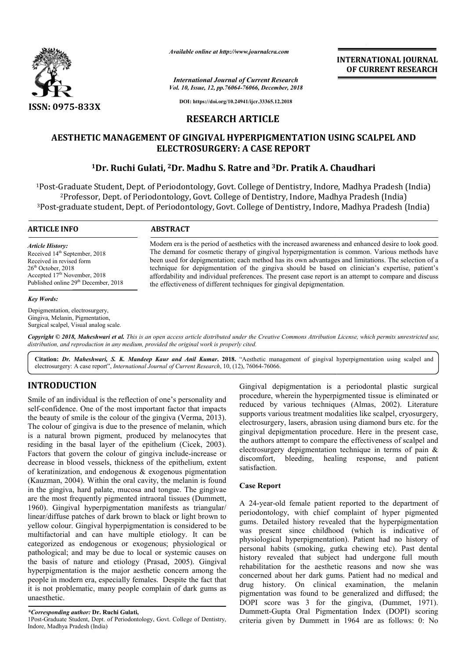

*Available online at http://www.journalcra.com*

*International Journal of Current Research Vol. 10, Issue, 12, pp.76064-76066, December, 2018* **INTERNATIONAL JOURNAL OF CURRENT RESEARCH**

**DOI: https://doi.org/10.24941/ijcr.33365.12.2018**

# **RESEARCH ARTICLE**

# **AESTHETIC MANAGEMENT OF GINGIVAL HYPERPIGMENTATION USING SCALPEL MANAGEMENT OF AND ELECTROSURGERY: A CASE REPORT**

# <sup>1</sup>Dr. Ruchi Gulati, <sup>2</sup>Dr. Madhu S. Ratre and <sup>3</sup>Dr. Pratik A. Chaudhari

1Post-Graduate Student, Dept. of Periodontology, Govt. College of Dentistry, Indore, Madhya Pradesh (India) 2Professor, Dept. of Periodontology, Govt. College of Dentistry, Indore, Madhya Pradesh (India) 3Post-graduate student, Dept. of Periodontology, Govt. College of Dentistry, Indore, Madhya Pradesh (India) Graduate Student, Dept. of Periodontology, Govt. College of Den<br><sup>2</sup>Professor, Dept. of Periodontology, Govt. College of Dentistry,<br>graduate student, Dept. of Periodontology, Govt. College of Den

#### **ARTICLE INFO ABSTRACT**

*Article History:* Received 14<sup>th</sup> September, 2018 Received in revised form 26th October, 2018 Accepted 17<sup>th</sup> November, 2018 Published online 29<sup>th</sup> December, 2018

#### *Key Words:*

Depigmentation, electrosurgery, Gingiva, Melanin, Pigmentation, Surgical scalpel, Visual analog scale. Modern era is the period of aesthetics with the increased awareness and enhanced desire to look good. Modern era is the period of aesthetics with the increased awareness and enhanced desire to look good.<br>The demand for cosmetic therapy of gingival hyperpigmentation is common. Various methods have been used for depigmentation; each method has its own advantages and limitations. The selection of a technique for depigmentation of the gingiva should be based on clinician's expertise, patient's affordability and individual preferences. The present case report is an attempt to compare and discuss the effectiveness of different techniques for gingival depigmentation. been used for depigmentation; each method has its own advantages and limitations. The technique for depigmentation of the gingiva should be based on clinician's expert affordability and individual preferences. The present

Copyright © 2018, Maheshwari et al. This is an open access article distributed under the Creative Commons Attribution License, which permits unrestricted use, *distribution, and reproduction in any medium, provided the original work is properly cited.*

Citation: Dr. Maheshwari, S. K. Mandeep Kaur and Anil Kumar. 2018. "Aesthetic management of gingival hyperpigmentation using scalpel and electrosurgery: A case report", *International Journal of Current Research* , 10, (12), 76064-76066.

# **INTRODUCTION**

Smile of an individual is the reflection of one's personality and self-confidence. One of the most important factor that impacts the beauty of smile is the colour of the gingiva (Verma, 2013). The colour of gingiva is due to the presence of melanin, which is a natural brown pigment, produced by melanocytes that residing in the basal layer of the epithelium (Cicek, 2003). Factors that govern the colour of gingiva include-increase or decrease in blood vessels, thickness of the epithelium, extent of keratinization, and endogenous & exogenous pigmentation (Kauzman, 2004). Within the oral cavity, the melanin is found in the gingiva, hard palate, mucosa and tongue. The gingivae are the most frequently pigmented intraoral tissues (Dummett, 1960). Gingival hyperpigmentation manifests as triangular/ linear/diffuse patches of dark brown to black or light brown to yellow colour. Gingival hyperpigmentation is considered to be multifactorial and can have multiple etiology. It can be categorized as endogenous or exogenous; physiological or pathological; and may be due to local or systemic causes on the basis of nature and etiology (Prasad, 2005). hyperpigmentation is the major aesthetic concern among the people in modern era, especially females. Despite the fact that it is not problematic, many people complain of dark gums as unaesthetic. iple etiology. It can be<br>ogenous; physiological or<br>cal or systemic causes on<br>(Prasad, 2005). Gingival Gingival depigmentation is a periodontal plastic surgical procedure, wherein the hyperpigmented tissue is eliminated or Gingival depigmentation is a periodontal plastic surgical procedure, wherein the hyperpigmented tissue is eliminated or reduced by various techniques (Almas, 2002). Literature supports various treatment modalities like scalpel, cryosurgery, electrosurgery, lasers, abrasion using diamond burs etc. for the gingival depigmentation procedure. Here in the present case, supports various treatment modalities like scalpel, cryosurgery, electrosurgery, lasers, abrasion using diamond burs etc. for the gingival depigmentation procedure. Here in the present case, the authors attempt to compare electrosurgery depigmentation technique in terms of pain & discomfort, bleeding, healing response, and patient satisfaction. the end of pain and the end of pain and the end of pain and patient<br>the bleeding, healing response, and patient<br>old female patient reported to the department of<br>logy, with chief complaint of hyper pigmented

## **Case Report**

A 24-year-old female patient reported to the department of periodontology, with chief complaint of hyper gums. Detailed history revealed that the hyperpigmentation was present since childhood (which is indicative of physiological hyperpigmentation). Patient had no history of personal habits (smoking, gutka chewing etc). Past dental history revealed that subject had undergone full mouth rehabilitation for the aesthetic reasons and now she was concerned about her dark gums. Patient had no medical and drug history. On clinical examination, the melanin pigmentation was found to be generalized and diffuse DOPI score was 3 for the gingiva, (Dummet, 1971). Dummett‑Gupta Oral Pigmentation Index (DOPI) scoring criteria given by Dummett in 1964 are as follows: 0: No Detailed history revealed that the hyperpigmentation present since childhood (which is indicative of plogical hyperpigmentation). Patient had no history of and habits (smoking, gutka chewing etc). Past dental y revealed th **INTERNATIONAL JOURNAL**<br> **INTERNATIONAL OF CURRENT RESEARCH<br>
CORPORT 2018<br>
SECTION 1987 CONTEXT (SETION 1997 CONTEXT AND CONTEXT AND E REPORT<br>
12.E<br>
COMENTATION USING SCALPEL AND<br>
CORPORT<br>
43Dr. Pratik A. Chaudhari<br>
of Den** 

*<sup>\*</sup>Corresponding author:* **Dr. Ruchi Gulati,** 

<sup>1</sup>Post-Graduate Student, Dept. of Periodontology, Govt. College of Dentistry, Indore, Madhya Pradesh (India)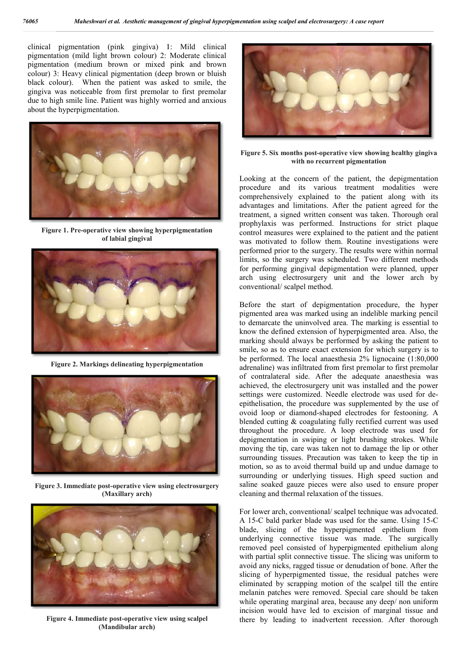clinical pigmentation (pink gingiva) 1: Mild clinical pigmentation (mild light brown colour) 2: Moderate clinical pigmentation (medium brown or mixed pink and brown colour) 3: Heavy clinical pigmentation (deep brown or bluish black colour). When the patient was asked to smile, the gingiva was noticeable from first premolar to first premolar due to high smile line. Patient was highly worried and anxious about the hyperpigmentation. gmentation (mild light brown colour)<br>gmentation (medium brown or mix<br>lour) 3: Heavy clinical pigmentation (<br>ack colour). When the patient was<br>ggiva was noticeable from first preme<br>e to high smile line. Patient was highly



**Figure 1. Pre-operative view showing hyperpigmentation of labial gingival**



**Figure 2. Markings delineating hyperpigmentation**



**Figure 3. Immediate post-operative view using (Maxillary arch)**



**Figure 4. Immediate post-operative view operative using scalpel (Mandibular arch)**



**Figure 5. Six months post-operative view showing healthy gingiva** with no recurrent pigmentation **with no recurrent pigmentation**

Looking at the concern of the patient, the depigmentation procedure and its various treatment modalities were comprehensively explained to the patient along with its advantages and limitations. After the patient agreed for the treatment, a signed written consent was taken. Thorough oral prophylaxis was performed. Instructions for strict plaque control measures were explained to the patient and the patient control measures were explained to the patient and the patient was motivated to follow them. Routine investigations were performed prior to the surgery. The results were within normal limits, so the surgery was scheduled. Two different methods for performing gingival depigmentation were planned, upper arch using electrosurgery unit and the lower arch by conventional/ scalpel method. the concern of the patient, the depigmentation and its various treatment modalities were ively explained to the patient along with its and limitations. After the patient agreed for the signed written consent was taken. Tho

Before the start of depigmentation procedure, the hyper pigmented area was marked using an indelible marking pencil to demarcate the uninvolved area. The marking is essential to know the defined extension of hyperpigmented area. Also, the marking should always be performed by asking the patient to smile, so as to ensure exact extension for which surgery is to be performed. The local anaesthesia 2% lignocaine (1:80,000 adrenaline) was infiltrated from first premolar to first premolar of contralateral side. After the adequate anaesthesia achieved, the electrosurgery unit was installed and the power achieved, the electrosurgery unit was installed and the power<br>settings were customized. Needle electrode was used for deepithelisation, the procedure was supplemented by the use of ovoid loop or diamond-shaped electrodes for festooning. A blended cutting & coagulating fully rectified current was used throughout the procedure. A loop electrode was used for depigmentation in swiping or light brushing strokes. While moving the tip, care was taken not to damage the lip or other epithelisation, the procedure was supplemented by the use of ovoid loop or diamond-shaped electrodes for festooning. A blended cutting & coagulating fully rectified current was used throughout the procedure. A loop electro motion, so as to avoid thermal build up and undue damage to surrounding or underlying tissues. High speed suction and saline soaked gauze pieces were also used to ensure proper cleaning and thermal relaxation of the tissues. pigmented area was marked using an indelible marking pencil<br>to demarcate the uninvolved area. The marking is essential to<br>know the defined extension of hyperpigmented area. Also, the<br>marking should always be performed by a n, so as to avoid thermal build up and undue damage to unding or underlying tissues. High speed suction and soaked gauze pieces were also used to ensure proper ng and thermal relaxation of the tissues.<br>Were arch, conventio entation walny statped and been to the positive view showing healthly gingive with no recurrent pigmentation between the content of the patient the designentation procedure and its various correlation and the patient and t

For lower arch, conventional/ scalpel technique was advocated. A 15-C bald parker blade was used for the same. Using 15 blade, slicing of the hyperpigmented epithelium from underlying connective tissue was made. The surgically blade, slicing of the hyperpigmented epithelium from underlying connective tissue was made. The surgically removed peel consisted of hyperpigmented epithelium along with partial split connective tissue. The slicing was uniform to avoid any nicks, ragged tissue or denudation of bone. After the slicing of hyperpigmented tissue, the residual patches were eliminated by scrapping motion of the scalpel till the entire melanin patches were removed. Special care should be taken while operating marginal area, because any deep/ non uniform incision would have led to excision of marginal tissue and there by leading to inadvertent recession. After thorough hy nicks, ragged tissue or denudation of bone. After the of hyperpigmented tissue, the residual patches were ted by scrapping motion of the scalpel till the entire